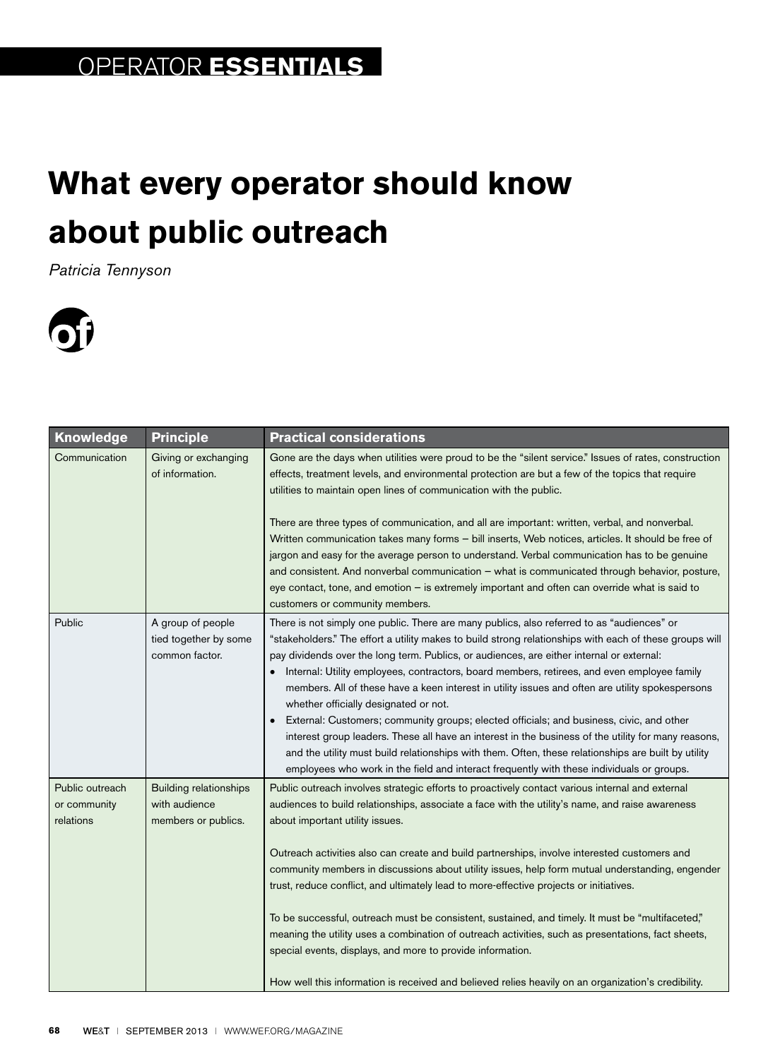## **What every operator should know about public outreach**

*Patricia Tennyson*



| Knowledge                                    | <b>Principle</b>                                                      | <b>Practical considerations</b>                                                                                                                                                                                                                                                                                                                                                                                                                                                                                                                                                                                                                                                                                                                                                                                                                                                                                                                                    |
|----------------------------------------------|-----------------------------------------------------------------------|--------------------------------------------------------------------------------------------------------------------------------------------------------------------------------------------------------------------------------------------------------------------------------------------------------------------------------------------------------------------------------------------------------------------------------------------------------------------------------------------------------------------------------------------------------------------------------------------------------------------------------------------------------------------------------------------------------------------------------------------------------------------------------------------------------------------------------------------------------------------------------------------------------------------------------------------------------------------|
| Communication                                | Giving or exchanging<br>of information.                               | Gone are the days when utilities were proud to be the "silent service." Issues of rates, construction<br>effects, treatment levels, and environmental protection are but a few of the topics that require<br>utilities to maintain open lines of communication with the public.<br>There are three types of communication, and all are important: written, verbal, and nonverbal.<br>Written communication takes many forms - bill inserts, Web notices, articles. It should be free of<br>jargon and easy for the average person to understand. Verbal communication has to be genuine<br>and consistent. And nonverbal communication - what is communicated through behavior, posture,<br>eye contact, tone, and emotion $-$ is extremely important and often can override what is said to<br>customers or community members.                                                                                                                                    |
| Public                                       | A group of people<br>tied together by some<br>common factor.          | There is not simply one public. There are many publics, also referred to as "audiences" or<br>"stakeholders." The effort a utility makes to build strong relationships with each of these groups will<br>pay dividends over the long term. Publics, or audiences, are either internal or external:<br>Internal: Utility employees, contractors, board members, retirees, and even employee family<br>members. All of these have a keen interest in utility issues and often are utility spokespersons<br>whether officially designated or not.<br>External: Customers; community groups; elected officials; and business, civic, and other<br>$\bullet$<br>interest group leaders. These all have an interest in the business of the utility for many reasons,<br>and the utility must build relationships with them. Often, these relationships are built by utility<br>employees who work in the field and interact frequently with these individuals or groups. |
| Public outreach<br>or community<br>relations | <b>Building relationships</b><br>with audience<br>members or publics. | Public outreach involves strategic efforts to proactively contact various internal and external<br>audiences to build relationships, associate a face with the utility's name, and raise awareness<br>about important utility issues.<br>Outreach activities also can create and build partnerships, involve interested customers and<br>community members in discussions about utility issues, help form mutual understanding, engender<br>trust, reduce conflict, and ultimately lead to more-effective projects or initiatives.<br>To be successful, outreach must be consistent, sustained, and timely. It must be "multifaceted,"<br>meaning the utility uses a combination of outreach activities, such as presentations, fact sheets,<br>special events, displays, and more to provide information.<br>How well this information is received and believed relies heavily on an organization's credibility.                                                  |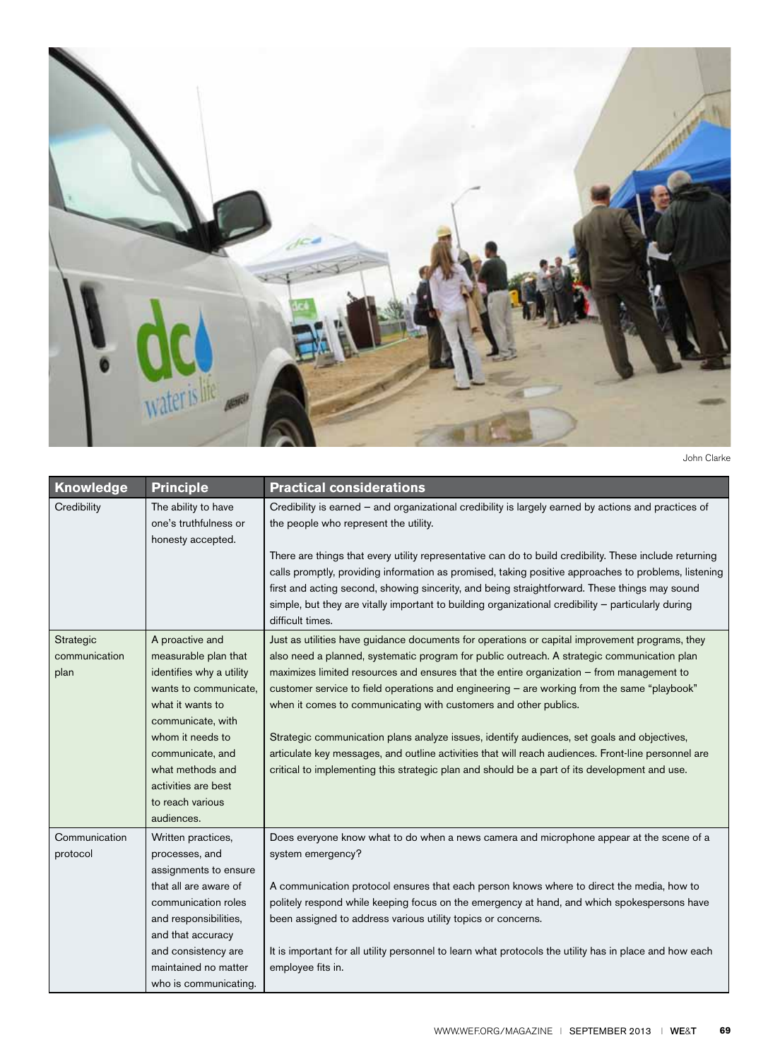

John Clarke

| <b>Knowledge</b>                          | <b>Principle</b>                                                                                                                                                                                                                                           | <b>Practical considerations</b>                                                                                                                                                                                                                                                                                                                                                                                                                                                                                                                                                                                                                                                                                                                                      |  |
|-------------------------------------------|------------------------------------------------------------------------------------------------------------------------------------------------------------------------------------------------------------------------------------------------------------|----------------------------------------------------------------------------------------------------------------------------------------------------------------------------------------------------------------------------------------------------------------------------------------------------------------------------------------------------------------------------------------------------------------------------------------------------------------------------------------------------------------------------------------------------------------------------------------------------------------------------------------------------------------------------------------------------------------------------------------------------------------------|--|
| Credibility                               | The ability to have<br>one's truthfulness or<br>honesty accepted.                                                                                                                                                                                          | Credibility is earned – and organizational credibility is largely earned by actions and practices of<br>the people who represent the utility.<br>There are things that every utility representative can do to build credibility. These include returning<br>calls promptly, providing information as promised, taking positive approaches to problems, listening<br>first and acting second, showing sincerity, and being straightforward. These things may sound<br>simple, but they are vitally important to building organizational credibility - particularly during<br>difficult times.                                                                                                                                                                         |  |
| <b>Strategic</b><br>communication<br>plan | A proactive and<br>measurable plan that<br>identifies why a utility<br>wants to communicate,<br>what it wants to<br>communicate, with<br>whom it needs to<br>communicate, and<br>what methods and<br>activities are best<br>to reach various<br>audiences. | Just as utilities have guidance documents for operations or capital improvement programs, they<br>also need a planned, systematic program for public outreach. A strategic communication plan<br>maximizes limited resources and ensures that the entire organization - from management to<br>customer service to field operations and engineering - are working from the same "playbook"<br>when it comes to communicating with customers and other publics.<br>Strategic communication plans analyze issues, identify audiences, set goals and objectives,<br>articulate key messages, and outline activities that will reach audiences. Front-line personnel are<br>critical to implementing this strategic plan and should be a part of its development and use. |  |
| Communication<br>protocol                 | Written practices,<br>processes, and<br>assignments to ensure<br>that all are aware of<br>communication roles<br>and responsibilities,<br>and that accuracy<br>and consistency are<br>maintained no matter<br>who is communicating.                        | Does everyone know what to do when a news camera and microphone appear at the scene of a<br>system emergency?<br>A communication protocol ensures that each person knows where to direct the media, how to<br>politely respond while keeping focus on the emergency at hand, and which spokespersons have<br>been assigned to address various utility topics or concerns.<br>It is important for all utility personnel to learn what protocols the utility has in place and how each<br>employee fits in.                                                                                                                                                                                                                                                            |  |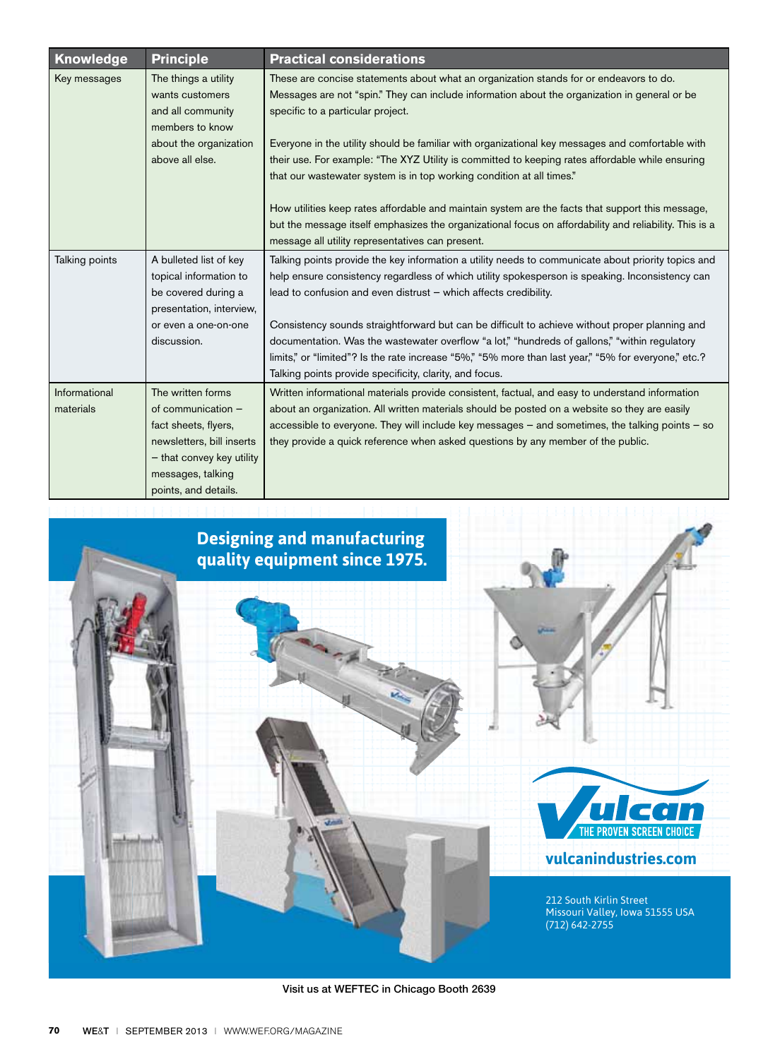| Knowledge                  | <b>Principle</b>                                                                                                                                                       | <b>Practical considerations</b>                                                                                                                                                                                                                                                                                                                                                             |
|----------------------------|------------------------------------------------------------------------------------------------------------------------------------------------------------------------|---------------------------------------------------------------------------------------------------------------------------------------------------------------------------------------------------------------------------------------------------------------------------------------------------------------------------------------------------------------------------------------------|
| Key messages               | The things a utility<br>wants customers<br>and all community<br>members to know                                                                                        | These are concise statements about what an organization stands for or endeavors to do.<br>Messages are not "spin." They can include information about the organization in general or be<br>specific to a particular project.                                                                                                                                                                |
|                            | about the organization<br>above all else.                                                                                                                              | Everyone in the utility should be familiar with organizational key messages and comfortable with<br>their use. For example: "The XYZ Utility is committed to keeping rates affordable while ensuring<br>that our wastewater system is in top working condition at all times."                                                                                                               |
|                            |                                                                                                                                                                        | How utilities keep rates affordable and maintain system are the facts that support this message,<br>but the message itself emphasizes the organizational focus on affordability and reliability. This is a<br>message all utility representatives can present.                                                                                                                              |
| Talking points             | A bulleted list of key<br>topical information to<br>be covered during a<br>presentation, interview,                                                                    | Talking points provide the key information a utility needs to communicate about priority topics and<br>help ensure consistency regardless of which utility spokesperson is speaking. Inconsistency can<br>lead to confusion and even distrust - which affects credibility.                                                                                                                  |
|                            | or even a one-on-one<br>discussion.                                                                                                                                    | Consistency sounds straightforward but can be difficult to achieve without proper planning and<br>documentation. Was the wastewater overflow "a lot," "hundreds of gallons," "within regulatory<br>limits," or "limited"? Is the rate increase "5%," "5% more than last year," "5% for everyone," etc.?<br>Talking points provide specificity, clarity, and focus.                          |
| Informational<br>materials | The written forms<br>of communication -<br>fact sheets, flyers,<br>newsletters, bill inserts<br>- that convey key utility<br>messages, talking<br>points, and details. | Written informational materials provide consistent, factual, and easy to understand information<br>about an organization. All written materials should be posted on a website so they are easily<br>accessible to everyone. They will include key messages $-$ and sometimes, the talking points $-$ so<br>they provide a quick reference when asked questions by any member of the public. |





## **vulcanindustries.com**

212 South Kirlin Street Missouri Valley, Iowa 51555 USA (712) 642-2755

Visit us at WEFTEC in Chicago Booth 2639